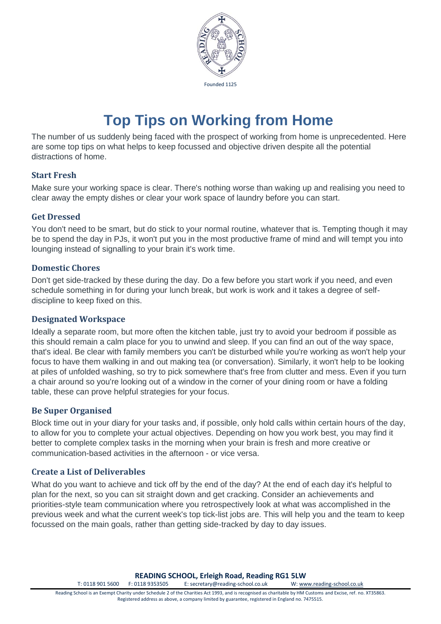

# **Top Tips on Working from Home**

The number of us suddenly being faced with the prospect of working from home is unprecedented. Here are some top tips on what helps to keep focussed and objective driven despite all the potential distractions of home.

# **Start Fresh**

Make sure your working space is clear. There's nothing worse than waking up and realising you need to clear away the empty dishes or clear your work space of laundry before you can start.

# **Get Dressed**

You don't need to be smart, but do stick to your normal routine, whatever that is. Tempting though it may be to spend the day in PJs, it won't put you in the most productive frame of mind and will tempt you into lounging instead of signalling to your brain it's work time.

# **Domestic Chores**

Don't get side-tracked by these during the day. Do a few before you start work if you need, and even schedule something in for during your lunch break, but work is work and it takes a degree of selfdiscipline to keep fixed on this.

# **Designated Workspace**

Ideally a separate room, but more often the kitchen table, just try to avoid your bedroom if possible as this should remain a calm place for you to unwind and sleep. If you can find an out of the way space, that's ideal. Be clear with family members you can't be disturbed while you're working as won't help your focus to have them walking in and out making tea (or conversation). Similarly, it won't help to be looking at piles of unfolded washing, so try to pick somewhere that's free from clutter and mess. Even if you turn a chair around so you're looking out of a window in the corner of your dining room or have a folding table, these can prove helpful strategies for your focus.

# **Be Super Organised**

Block time out in your diary for your tasks and, if possible, only hold calls within certain hours of the day, to allow for you to complete your actual objectives. Depending on how you work best, you may find it better to complete complex tasks in the morning when your brain is fresh and more creative or communication-based activities in the afternoon - or vice versa.

# **Create a List of Deliverables**

What do you want to achieve and tick off by the end of the day? At the end of each day it's helpful to plan for the next, so you can sit straight down and get cracking. Consider an achievements and priorities-style team communication where you retrospectively look at what was accomplished in the previous week and what the current week's top tick-list jobs are. This will help you and the team to keep focussed on the main goals, rather than getting side-tracked by day to day issues.

**READING SCHOOL, Erleigh Road, Reading RG1 5LW**